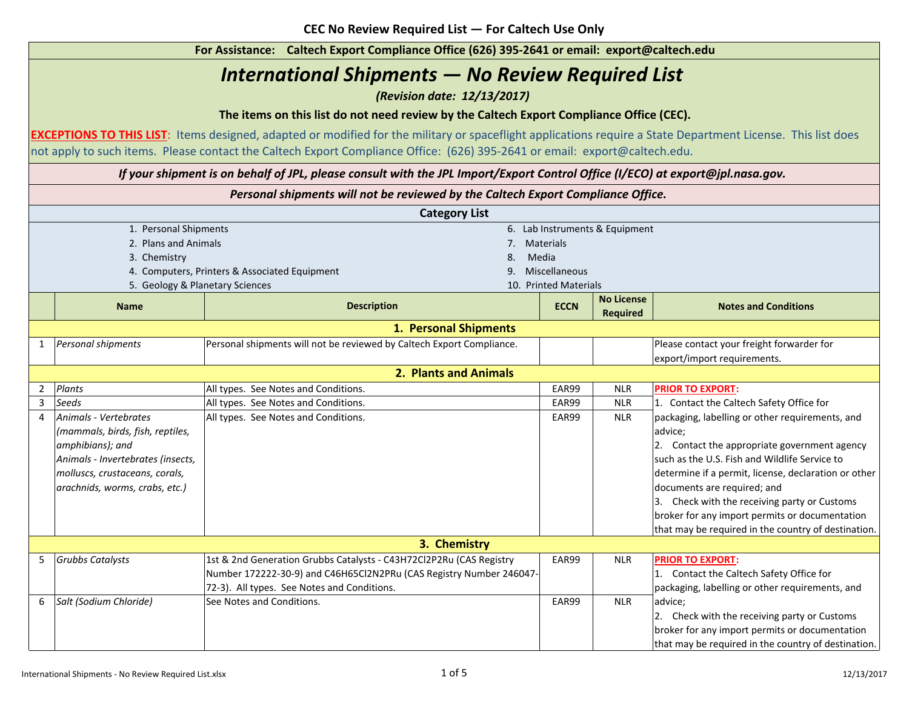1. Personal Shipments 6. Lab Instruments & Equipment 2. Plans and Animals 2. Materials 7. Materials 7. Materials 7. Materials 7. Materials 7. Materials 7. Materials **3. Chemistry 8. Media 8. Media 8. Media 8. Media 8. Media** 4. Computers, Printers & Associated Equipment 9. Miscellaneous 5. Geology & Planetary Sciences 10. Printed Materials **NameECCN ECCN ECCN ECCN Description ECCN ECCN No License Required Notes and Conditions** 11 *Personal shipments* Personal shipments will not be reviewed by Caltech Export Compliance. | Premissional prese contact your freight forwarder for export/import requirements.  $\mathfrak{p}$ 2 *Plants* **EAR99 EAR99** NLR 33 *Seeds* **EAR99 EAR99 EAR99 NLR** 4 *Animals - Vertebrates (mammals, birds, fish, reptiles, amphibians); and Animals - Invertebrates (insects, molluscs, crustaceans, corals, arachnids, worms, crabs, etc.)* EAR99 NLR 55 Grubbs Catalysts **Actual State Catalysts Actual Catalysts CAS** H72Cl2P2Ru (CAS Registry Tamped Republic Pull R 66 Salt (Sodium Chloride) Face Notes and Conditions. The Seediese of the Second League of the Second League of the Second League of the Second League of the Second League of the Second League of the Second League of the Se **PRIOR TO EXPORT:**1. Contact the Caltech Safety Office for packaging, labelling or other requirements, and advice; 2. Contact the appropriate government agency such as the U.S. Fish and Wildlife Service to determine if a permit, license, declaration or other documents are required; and 3. Check with the receiving party or Customs broker for any import permits or documentation that may be required in the country of destination. *If your shipment is on behalf of JPL, please consult with the JPL Import/Export Control Office (I/ECO) at export@jpl.nasa.gov.* Number 172222-30-9) and C46H65Cl2N2PRu (CAS Registry Number 246047- 72-3). All types. See Notes and Conditions. **PRIOR TO EXPORT:**1. Contact the Caltech Safety Office for packaging, labelling or other requirements, and advice; 2. Check with the receiving party or Customs broker for any import permits or documentation that may be required in the country of destination. **For Assistance: Caltech Export Compliance Office (626) 395-2641 or email: export@caltech.edu 2. Plants and Animals1. Personal Shipments The items on this list do not need review by the Caltech Export Compliance Office (CEC). Category List** *International Shipments — No Review Required List (Revision date: 12/13/2017)* **EXCEPTIONS TO THIS LIST**: Items designed, adapted or modified for the military or spaceflight applications require a State Department License. This list does not apply to such items. Please contact the Caltech Export Compliance Office: (626) 395-2641 or email: export@caltech.edu. *Personal shipments will not be reviewed by the Caltech Export Compliance Office.*  All types. See Notes and Conditions. **3. Chemistry**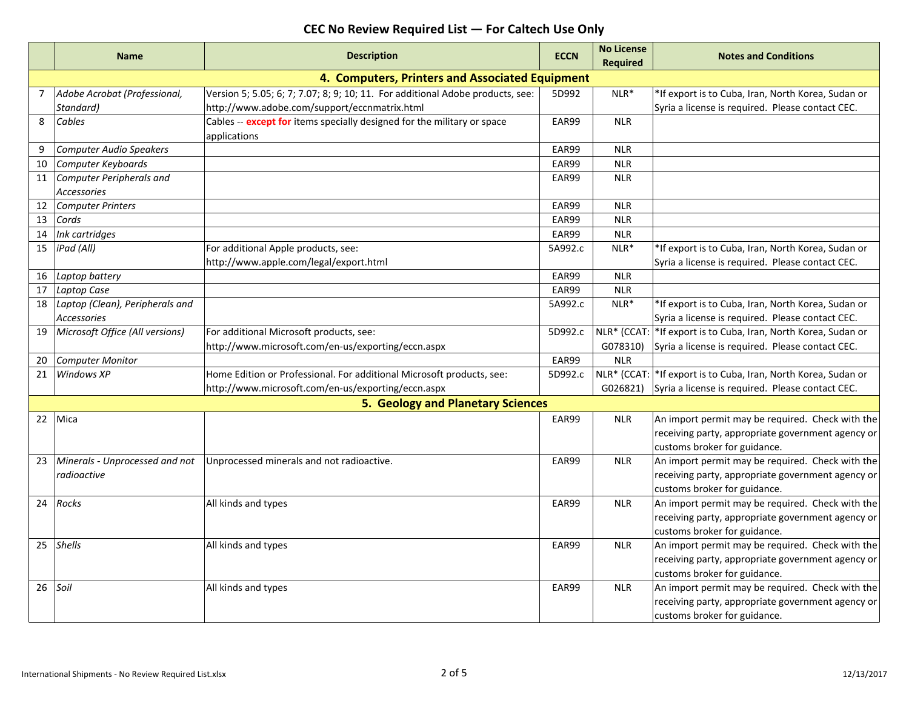|                                                 | <b>Name</b>                                           | <b>Description</b>                                                                                                             | <b>ECCN</b> | <b>No License</b><br>Required | <b>Notes and Conditions</b>                                                                                                           |  |
|-------------------------------------------------|-------------------------------------------------------|--------------------------------------------------------------------------------------------------------------------------------|-------------|-------------------------------|---------------------------------------------------------------------------------------------------------------------------------------|--|
| 4. Computers, Printers and Associated Equipment |                                                       |                                                                                                                                |             |                               |                                                                                                                                       |  |
| $\overline{7}$                                  | Adobe Acrobat (Professional,<br>Standard)             | Version 5; 5.05; 6; 7; 7.07; 8; 9; 10; 11. For additional Adobe products, see:<br>http://www.adobe.com/support/eccnmatrix.html | 5D992       | NLR*                          | *If export is to Cuba, Iran, North Korea, Sudan or<br>Syria a license is required. Please contact CEC.                                |  |
| 8                                               | Cables                                                | Cables -- except for items specially designed for the military or space<br>applications                                        | EAR99       | <b>NLR</b>                    |                                                                                                                                       |  |
|                                                 | <b>Computer Audio Speakers</b>                        |                                                                                                                                | EAR99       | <b>NLR</b>                    |                                                                                                                                       |  |
| 10                                              | Computer Keyboards                                    |                                                                                                                                | EAR99       | <b>NLR</b>                    |                                                                                                                                       |  |
| 11                                              | Computer Peripherals and<br><b>Accessories</b>        |                                                                                                                                | EAR99       | <b>NLR</b>                    |                                                                                                                                       |  |
| 12                                              | <b>Computer Printers</b>                              |                                                                                                                                | EAR99       | <b>NLR</b>                    |                                                                                                                                       |  |
| 13                                              | Cords                                                 |                                                                                                                                | EAR99       | <b>NLR</b>                    |                                                                                                                                       |  |
| 14                                              | Ink cartridges                                        |                                                                                                                                | EAR99       | <b>NLR</b>                    |                                                                                                                                       |  |
| 15                                              | iPad (All)                                            | For additional Apple products, see:<br>http://www.apple.com/legal/export.html                                                  | 5A992.c     | $NLR^*$                       | *If export is to Cuba, Iran, North Korea, Sudan or<br>Syria a license is required. Please contact CEC.                                |  |
| 16                                              | Laptop battery                                        |                                                                                                                                | EAR99       | <b>NLR</b>                    |                                                                                                                                       |  |
| 17                                              | Laptop Case                                           |                                                                                                                                | EAR99       | <b>NLR</b>                    |                                                                                                                                       |  |
| 18                                              | Laptop (Clean), Peripherals and<br><b>Accessories</b> |                                                                                                                                | 5A992.c     | $NLR^*$                       | *If export is to Cuba, Iran, North Korea, Sudan or<br>Syria a license is required. Please contact CEC.                                |  |
| 19                                              | Microsoft Office (All versions)                       | For additional Microsoft products, see:                                                                                        | 5D992.c     |                               | NLR* (CCAT:  *If export is to Cuba, Iran, North Korea, Sudan or                                                                       |  |
|                                                 |                                                       | http://www.microsoft.com/en-us/exporting/eccn.aspx                                                                             |             | G078310)                      | Syria a license is required. Please contact CEC.                                                                                      |  |
| 20                                              | <b>Computer Monitor</b>                               |                                                                                                                                | EAR99       | <b>NLR</b>                    |                                                                                                                                       |  |
| 21                                              | Windows XP                                            | Home Edition or Professional. For additional Microsoft products, see:                                                          | 5D992.c     |                               | NLR* (CCAT: * If export is to Cuba, Iran, North Korea, Sudan or                                                                       |  |
|                                                 |                                                       | http://www.microsoft.com/en-us/exporting/eccn.aspx                                                                             |             | G026821)                      | Syria a license is required. Please contact CEC.                                                                                      |  |
|                                                 |                                                       | 5. Geology and Planetary Sciences                                                                                              |             |                               |                                                                                                                                       |  |
| 22                                              | Mica                                                  |                                                                                                                                | EAR99       | <b>NLR</b>                    | An import permit may be required. Check with the<br>receiving party, appropriate government agency or<br>customs broker for guidance. |  |
| 23                                              | Minerals - Unprocessed and not<br>radioactive         | Unprocessed minerals and not radioactive.                                                                                      | EAR99       | <b>NLR</b>                    | An import permit may be required. Check with the<br>receiving party, appropriate government agency or<br>customs broker for guidance. |  |
| 24                                              | Rocks                                                 | All kinds and types                                                                                                            | EAR99       | <b>NLR</b>                    | An import permit may be required. Check with the<br>receiving party, appropriate government agency or<br>customs broker for guidance. |  |
| 25                                              | <b>Shells</b>                                         | All kinds and types                                                                                                            | EAR99       | <b>NLR</b>                    | An import permit may be required. Check with the<br>receiving party, appropriate government agency or<br>customs broker for guidance. |  |
| 26                                              | Soil                                                  | All kinds and types                                                                                                            | EAR99       | <b>NLR</b>                    | An import permit may be required. Check with the<br>receiving party, appropriate government agency or<br>customs broker for guidance. |  |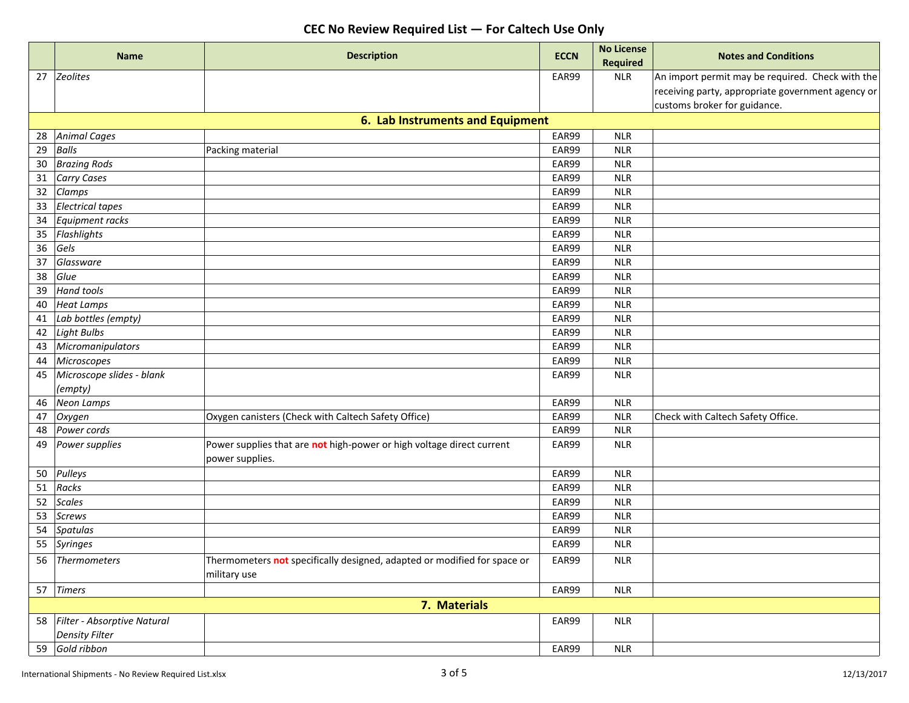|    | <b>Name</b>                    |                                                                          |             | <b>No License</b> |                                                   |
|----|--------------------------------|--------------------------------------------------------------------------|-------------|-------------------|---------------------------------------------------|
|    |                                | <b>Description</b>                                                       | <b>ECCN</b> | <b>Required</b>   | <b>Notes and Conditions</b>                       |
|    | 27 Zeolites                    |                                                                          | EAR99       | <b>NLR</b>        | An import permit may be required. Check with the  |
|    |                                |                                                                          |             |                   | receiving party, appropriate government agency or |
|    |                                |                                                                          |             |                   | customs broker for guidance.                      |
|    |                                | 6. Lab Instruments and Equipment                                         |             |                   |                                                   |
| 28 | <b>Animal Cages</b>            |                                                                          | EAR99       | <b>NLR</b>        |                                                   |
| 29 | <b>Balls</b>                   | Packing material                                                         | EAR99       | <b>NLR</b>        |                                                   |
| 30 | <b>Brazing Rods</b>            |                                                                          | EAR99       | <b>NLR</b>        |                                                   |
|    | 31 Carry Cases                 |                                                                          | EAR99       | <b>NLR</b>        |                                                   |
| 32 | Clamps                         |                                                                          | EAR99       | <b>NLR</b>        |                                                   |
| 33 | <b>Electrical tapes</b>        |                                                                          | EAR99       | <b>NLR</b>        |                                                   |
| 34 | Equipment racks                |                                                                          | EAR99       | <b>NLR</b>        |                                                   |
| 35 | Flashlights                    |                                                                          | EAR99       | <b>NLR</b>        |                                                   |
| 36 | Gels                           |                                                                          | EAR99       | <b>NLR</b>        |                                                   |
| 37 | Glassware                      |                                                                          | EAR99       | <b>NLR</b>        |                                                   |
| 38 | Glue                           |                                                                          | EAR99       | <b>NLR</b>        |                                                   |
| 39 | <b>Hand tools</b>              |                                                                          | EAR99       | <b>NLR</b>        |                                                   |
| 40 | <b>Heat Lamps</b>              |                                                                          | EAR99       | <b>NLR</b>        |                                                   |
| 41 | Lab bottles (empty)            |                                                                          | EAR99       | <b>NLR</b>        |                                                   |
| 42 | Light Bulbs                    |                                                                          | EAR99       | <b>NLR</b>        |                                                   |
| 43 | Micromanipulators              |                                                                          | EAR99       | <b>NLR</b>        |                                                   |
| 44 | Microscopes                    |                                                                          | EAR99       | <b>NLR</b>        |                                                   |
| 45 | Microscope slides - blank      |                                                                          | EAR99       | <b>NLR</b>        |                                                   |
|    | (empty)                        |                                                                          |             |                   |                                                   |
| 46 | <b>Neon Lamps</b>              |                                                                          | EAR99       | <b>NLR</b>        |                                                   |
| 47 | Oxygen                         | Oxygen canisters (Check with Caltech Safety Office)                      | EAR99       | <b>NLR</b>        | Check with Caltech Safety Office.                 |
| 48 | Power cords                    |                                                                          | EAR99       | <b>NLR</b>        |                                                   |
| 49 | Power supplies                 | Power supplies that are not high-power or high voltage direct current    | EAR99       | <b>NLR</b>        |                                                   |
|    |                                | power supplies.                                                          |             |                   |                                                   |
| 50 | Pulleys                        |                                                                          | EAR99       | <b>NLR</b>        |                                                   |
| 51 | Racks                          |                                                                          | EAR99       | <b>NLR</b>        |                                                   |
| 52 | Scales                         |                                                                          | EAR99       | <b>NLR</b>        |                                                   |
| 53 | Screws                         |                                                                          | EAR99       | <b>NLR</b>        |                                                   |
| 54 | Spatulas                       |                                                                          | EAR99       | <b>NLR</b>        |                                                   |
| 55 | Syringes                       |                                                                          | EAR99       | <b>NLR</b>        |                                                   |
|    | 56 Thermometers                | Thermometers not specifically designed, adapted or modified for space or | EAR99       | <b>NLR</b>        |                                                   |
|    |                                | military use                                                             |             |                   |                                                   |
|    | 57 Timers                      |                                                                          | EAR99       | NLR               |                                                   |
|    |                                | 7. Materials                                                             |             |                   |                                                   |
|    | 58 Filter - Absorptive Natural |                                                                          | EAR99       | NLR               |                                                   |
|    | <b>Density Filter</b>          |                                                                          |             |                   |                                                   |
|    | 59 Gold ribbon                 |                                                                          | EAR99       | $\sf NLR$         |                                                   |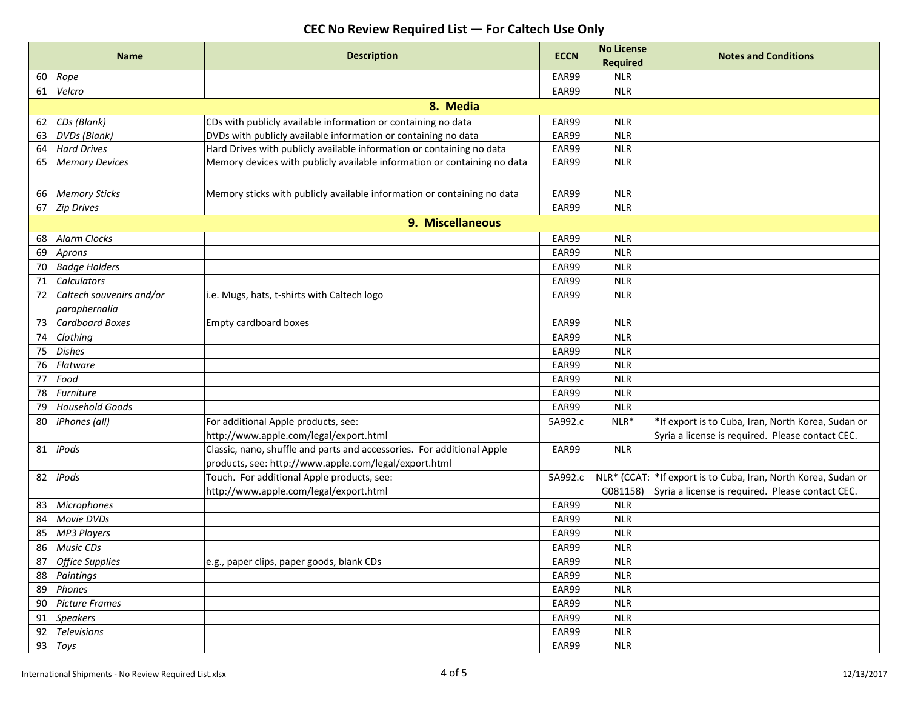|    | <b>Name</b>              | <b>Description</b>                                                       | <b>ECCN</b> | <b>No License</b> | <b>Notes and Conditions</b>                                     |
|----|--------------------------|--------------------------------------------------------------------------|-------------|-------------------|-----------------------------------------------------------------|
|    |                          |                                                                          |             | <b>Required</b>   |                                                                 |
| 60 | Rope                     |                                                                          | EAR99       | <b>NLR</b>        |                                                                 |
| 61 | Velcro                   |                                                                          | EAR99       | <b>NLR</b>        |                                                                 |
|    |                          | 8. Media                                                                 |             |                   |                                                                 |
| 62 | CDs (Blank)              | CDs with publicly available information or containing no data            | EAR99       | <b>NLR</b>        |                                                                 |
| 63 | <b>DVDs</b> (Blank)      | DVDs with publicly available information or containing no data           | EAR99       | <b>NLR</b>        |                                                                 |
| 64 | <b>Hard Drives</b>       | Hard Drives with publicly available information or containing no data    | EAR99       | <b>NLR</b>        |                                                                 |
| 65 | <b>Memory Devices</b>    | Memory devices with publicly available information or containing no data | EAR99       | <b>NLR</b>        |                                                                 |
|    |                          |                                                                          |             |                   |                                                                 |
| 66 | <b>Memory Sticks</b>     | Memory sticks with publicly available information or containing no data  | EAR99       | <b>NLR</b>        |                                                                 |
| 67 | <b>Zip Drives</b>        |                                                                          | EAR99       | <b>NLR</b>        |                                                                 |
|    |                          | 9. Miscellaneous                                                         |             |                   |                                                                 |
| 68 | <b>Alarm Clocks</b>      |                                                                          | EAR99       | <b>NLR</b>        |                                                                 |
| 69 | Aprons                   |                                                                          | EAR99       | <b>NLR</b>        |                                                                 |
| 70 | <b>Badge Holders</b>     |                                                                          | EAR99       | <b>NLR</b>        |                                                                 |
| 71 | <b>Calculators</b>       |                                                                          | EAR99       | <b>NLR</b>        |                                                                 |
| 72 | Caltech souvenirs and/or | i.e. Mugs, hats, t-shirts with Caltech logo                              | EAR99       | <b>NLR</b>        |                                                                 |
|    | paraphernalia            |                                                                          |             |                   |                                                                 |
| 73 | <b>Cardboard Boxes</b>   | Empty cardboard boxes                                                    | EAR99       | <b>NLR</b>        |                                                                 |
| 74 | Clothing                 |                                                                          | EAR99       | <b>NLR</b>        |                                                                 |
| 75 | <b>Dishes</b>            |                                                                          | EAR99       | <b>NLR</b>        |                                                                 |
| 76 | Flatware                 |                                                                          | EAR99       | <b>NLR</b>        |                                                                 |
| 77 | Food                     |                                                                          | EAR99       | <b>NLR</b>        |                                                                 |
| 78 | Furniture                |                                                                          | EAR99       | <b>NLR</b>        |                                                                 |
| 79 | <b>Household Goods</b>   |                                                                          | EAR99       | <b>NLR</b>        |                                                                 |
| 80 | iPhones (all)            | For additional Apple products, see:                                      | 5A992.c     | $NLR*$            | *If export is to Cuba, Iran, North Korea, Sudan or              |
|    |                          | http://www.apple.com/legal/export.html                                   |             |                   | Syria a license is required. Please contact CEC.                |
| 81 | iPods                    | Classic, nano, shuffle and parts and accessories. For additional Apple   | EAR99       | <b>NLR</b>        |                                                                 |
|    |                          | products, see: http://www.apple.com/legal/export.html                    |             |                   |                                                                 |
| 82 | iPods                    | Touch. For additional Apple products, see:                               | 5A992.c     |                   | NLR* (CCAT:  *If export is to Cuba, Iran, North Korea, Sudan or |
|    |                          | http://www.apple.com/legal/export.html                                   |             | G081158)          | Syria a license is required. Please contact CEC.                |
| 83 | <b>Microphones</b>       |                                                                          | EAR99       | <b>NLR</b>        |                                                                 |
| 84 | <b>Movie DVDs</b>        |                                                                          | EAR99       | <b>NLR</b>        |                                                                 |
| 85 | <b>MP3 Players</b>       |                                                                          | EAR99       | <b>NLR</b>        |                                                                 |
| 86 | Music CDs                |                                                                          | EAR99       | <b>NLR</b>        |                                                                 |
| 87 | <b>Office Supplies</b>   | e.g., paper clips, paper goods, blank CDs                                | EAR99       | <b>NLR</b>        |                                                                 |
|    | 88 Paintings             |                                                                          | EAR99       | <b>NLR</b>        |                                                                 |
| 89 | Phones                   |                                                                          | EAR99       | <b>NLR</b>        |                                                                 |
| 90 | <b>Picture Frames</b>    |                                                                          | EAR99       | <b>NLR</b>        |                                                                 |
|    | 91 Speakers              |                                                                          | EAR99       | <b>NLR</b>        |                                                                 |
|    | 92 Televisions           |                                                                          | EAR99       | <b>NLR</b>        |                                                                 |
|    | 93 Toys                  |                                                                          | EAR99       | <b>NLR</b>        |                                                                 |